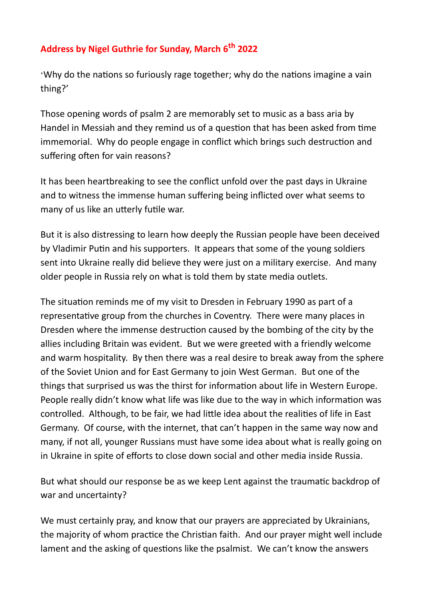## **Address by Nigel Guthrie for Sunday, March 6th 2022**

'Why do the nations so furiously rage together; why do the nations imagine a vain thing?'

Those opening words of psalm 2 are memorably set to music as a bass aria by Handel in Messiah and they remind us of a question that has been asked from time immemorial. Why do people engage in conflict which brings such destruction and suffering often for vain reasons?

It has been heartbreaking to see the conflict unfold over the past days in Ukraine and to witness the immense human suffering being inflicted over what seems to many of us like an utterly futile war.

But it is also distressing to learn how deeply the Russian people have been deceived by Vladimir Putin and his supporters. It appears that some of the young soldiers sent into Ukraine really did believe they were just on a military exercise. And many older people in Russia rely on what is told them by state media outlets.

The situation reminds me of my visit to Dresden in February 1990 as part of a representative group from the churches in Coventry. There were many places in Dresden where the immense destruction caused by the bombing of the city by the allies including Britain was evident. But we were greeted with a friendly welcome and warm hospitality. By then there was a real desire to break away from the sphere of the Soviet Union and for East Germany to join West German. But one of the things that surprised us was the thirst for information about life in Western Europe. People really didn't know what life was like due to the way in which information was controlled. Although, to be fair, we had little idea about the realities of life in East Germany. Of course, with the internet, that can't happen in the same way now and many, if not all, younger Russians must have some idea about what is really going on in Ukraine in spite of efforts to close down social and other media inside Russia.

But what should our response be as we keep Lent against the traumatic backdrop of war and uncertainty?

We must certainly pray, and know that our prayers are appreciated by Ukrainians, the majority of whom practice the Christian faith. And our prayer might well include lament and the asking of questions like the psalmist. We can't know the answers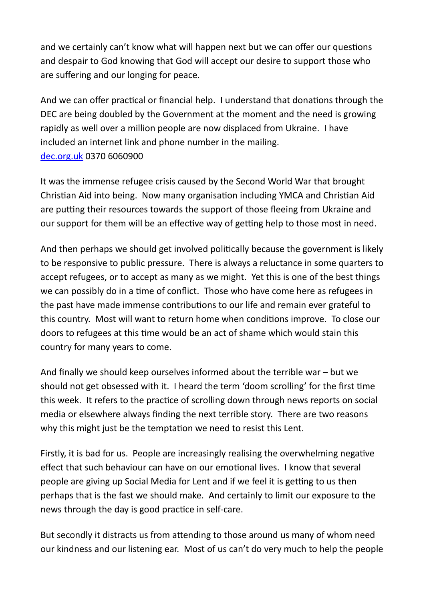and we certainly can't know what will happen next but we can offer our questions and despair to God knowing that God will accept our desire to support those who are suffering and our longing for peace.

And we can offer practical or financial help. I understand that donations through the DEC are being doubled by the Government at the moment and the need is growing rapidly as well over a million people are now displaced from Ukraine. I have included an internet link and phone number in the mailing. [dec.org.uk](http://dec.org.uk/) 0370 6060900

It was the immense refugee crisis caused by the Second World War that brought Christian Aid into being. Now many organisation including YMCA and Christian Aid are putting their resources towards the support of those fleeing from Ukraine and our support for them will be an effective way of getting help to those most in need.

And then perhaps we should get involved politically because the government is likely to be responsive to public pressure. There is always a reluctance in some quarters to accept refugees, or to accept as many as we might. Yet this is one of the best things we can possibly do in a time of conflict. Those who have come here as refugees in the past have made immense contributions to our life and remain ever grateful to this country. Most will want to return home when conditions improve. To close our doors to refugees at this time would be an act of shame which would stain this country for many years to come.

And finally we should keep ourselves informed about the terrible war – but we should not get obsessed with it. I heard the term 'doom scrolling' for the first time this week. It refers to the practice of scrolling down through news reports on social media or elsewhere always finding the next terrible story. There are two reasons why this might just be the temptation we need to resist this Lent.

Firstly, it is bad for us. People are increasingly realising the overwhelming negative effect that such behaviour can have on our emotional lives. I know that several people are giving up Social Media for Lent and if we feel it is getting to us then perhaps that is the fast we should make. And certainly to limit our exposure to the news through the day is good practice in self-care.

But secondly it distracts us from attending to those around us many of whom need our kindness and our listening ear. Most of us can't do very much to help the people